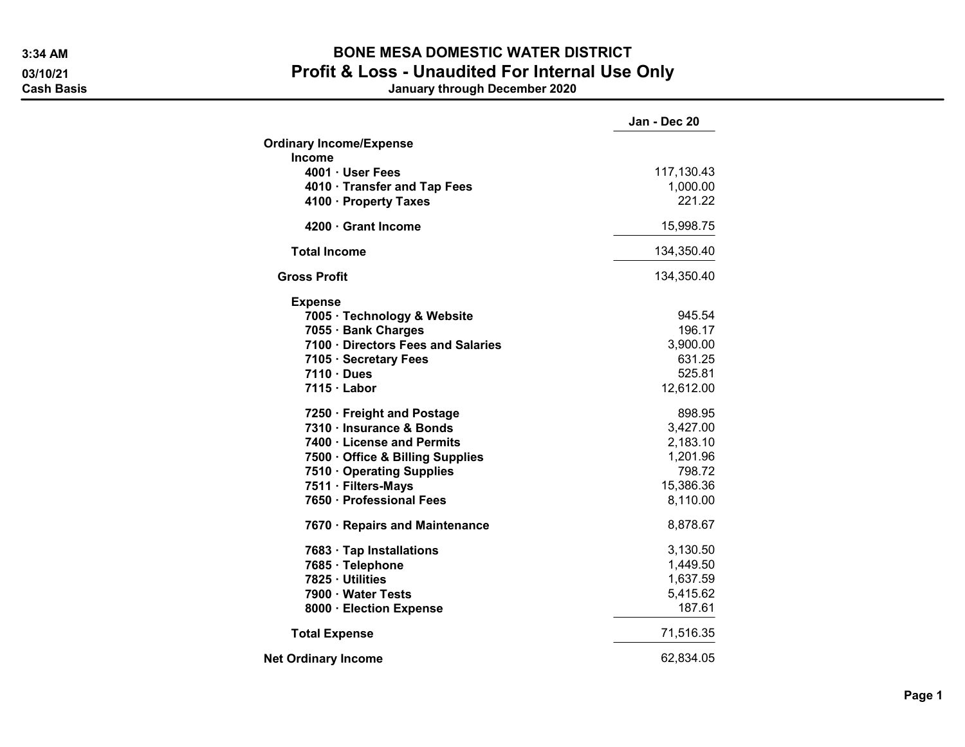## 3:34 AM BONE MESA DOMESTIC WATER DISTRICT 03/10/21 03/10/21 Profit & Loss - Unaudited For Internal Use Only<br>Cash Basis danuary through December 2020

January through December 2020

|                                    | Jan - Dec 20           |
|------------------------------------|------------------------|
| <b>Ordinary Income/Expense</b>     |                        |
| <b>Income</b><br>4001 · User Fees  |                        |
| 4010 · Transfer and Tap Fees       | 117,130.43<br>1,000.00 |
| 4100 · Property Taxes              | 221.22                 |
| 4200 Grant Income                  | 15,998.75              |
|                                    |                        |
| <b>Total Income</b>                | 134,350.40             |
| <b>Gross Profit</b>                | 134,350.40             |
| <b>Expense</b>                     |                        |
| 7005 · Technology & Website        | 945.54                 |
| 7055 · Bank Charges                | 196.17                 |
| 7100 · Directors Fees and Salaries | 3,900.00               |
| 7105 · Secretary Fees              | 631.25                 |
| $7110 \cdot Dues$                  | 525.81                 |
| 7115 · Labor                       | 12,612.00              |
| 7250 · Freight and Postage         | 898.95                 |
| 7310 · Insurance & Bonds           | 3,427.00               |
| 7400 · License and Permits         | 2,183.10               |
| 7500 Office & Billing Supplies     | 1,201.96               |
| 7510 Operating Supplies            | 798.72                 |
| 7511 · Filters-Mays                | 15,386.36              |
| 7650 · Professional Fees           | 8,110.00               |
| 7670 · Repairs and Maintenance     | 8,878.67               |
| 7683 · Tap Installations           | 3,130.50               |
| 7685 · Telephone                   | 1,449.50               |
| 7825 · Utilities                   | 1,637.59               |
| 7900 · Water Tests                 | 5,415.62               |
| 8000 · Election Expense            | 187.61                 |
| <b>Total Expense</b>               | 71,516.35              |
| <b>Net Ordinary Income</b>         | 62,834.05              |